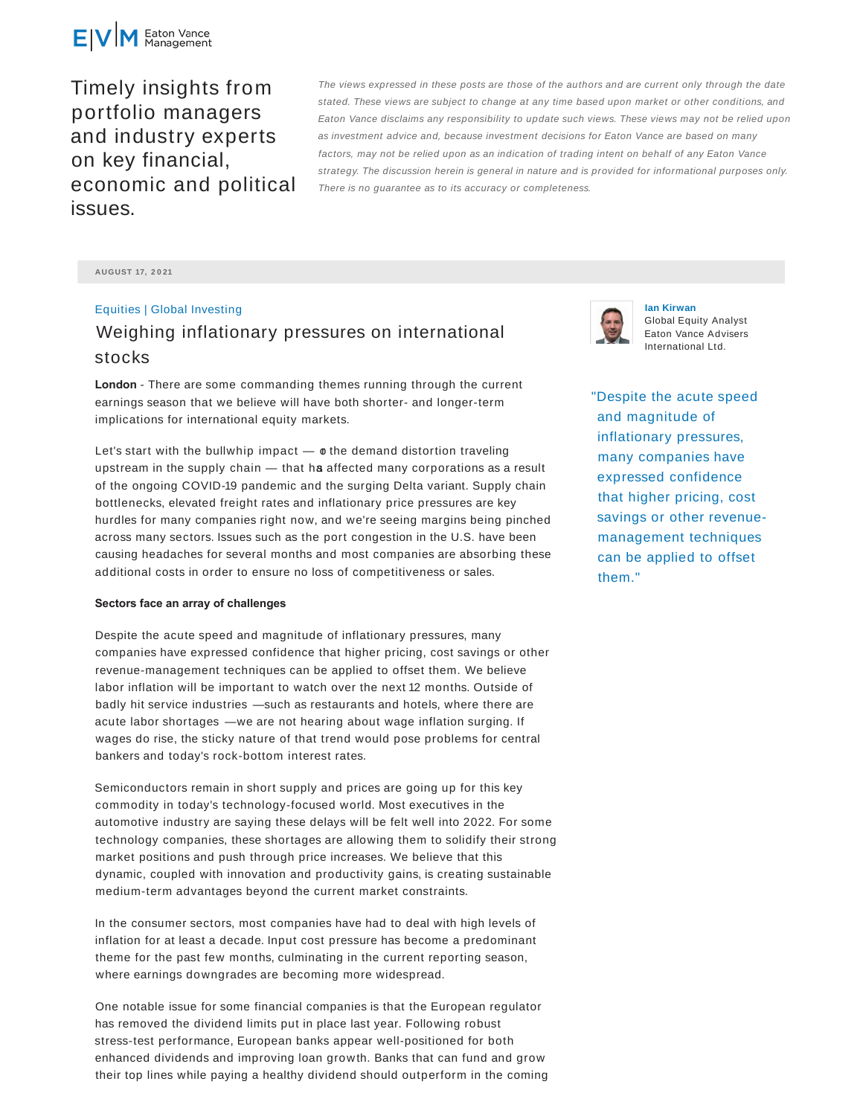

Timely insights from portfolio managers and industry experts on key financial, economic and political issues.

The views expressed in these posts are those of the authors and are current only through the date stated. These views are subject to change at any time based upon market or other conditions, and Eaton Vance disclaims any responsibility to update such views. These views may not be relied upon as investment advice and, because investment decisions for Eaton Vance are based on many factors, may not be relied upon as an indication of trading intent on behalf of any Eaton Vance strategy. The discussion herein is general in nature and is provided for informational purposes only. There is no guarantee as to its accuracy or completeness.

**AUGUST 17, 2 0 21**

## Equities | Global Investing Weighing inflationary pressures on international stocks

**London** - There are some commanding themes running through the current earnings season that we believe will have both shorter- and longer-term implications for international equity markets.

Let's start with the bullwhip impact  $\phi$  the demand distortion traveling upstream in the supply chain  $-$  that has affected many corporations as a result of the ongoing COVID-19 pandemic and the surging Delta variant. Supply chain bottlenecks, elevated freight rates and inflationary price pressures are key hurdles for many companies right now, and we're seeing margins being pinched across many sectors. Issues such as the port congestion in the U.S. have been causing headaches for several months and most companies are absorbing these additional costs in order to ensure no loss of competitiveness or sales.

## **Sectors face an array of challenges**

Despite the acute speed and magnitude of inflationary pressures, many companies have expressed confidence that higher pricing, cost savings or other revenue-management techniques can be applied to offset them. We believe labor inflation will be important to watch over the next 12 months. Outside of badly hit service industries — such as restaurants and hotels, where there are acute labor shortages — we are not hearing about wage inflation surging. If wages do rise, the sticky nature of that trend would pose problems for central bankers and today's rock-bottom interest rates.

Semiconductors remain in short supply and prices are going up for this key commodity in today's technology-focused world. Most executives in the automotive industry are saying these delays will be felt well into 2022. For some technology companies, these shortages are allowing them to solidify their strong market positions and push through price increases. We believe that this dynamic, coupled with innovation and productivity gains, is creating sustainable medium-term advantages beyond the current market constraints.

In the consumer sectors, most companies have had to deal with high levels of inflation for at least a decade. Input cost pressure has become a predominant theme for the past few months, culminating in the current reporting season, where earnings downgrades are becoming more widespread.

One notable issue for some financial companies is that the European regulator has removed the dividend limits put in place last year. Following robust stress-test performance, European banks appear well-positioned for both enhanced dividends and improving loan growth. Banks that can fund and grow their top lines while paying a healthy dividend should outperform in the coming



**Ian Kirwan** Global Equity Analyst Eaton Vance Advisers International Ltd.

"Despite the acute speed and magnitude of inflationary pressures, many companies have expressed confidence that higher pricing, cost savings or other revenuemanagement techniques can be applied to offset them."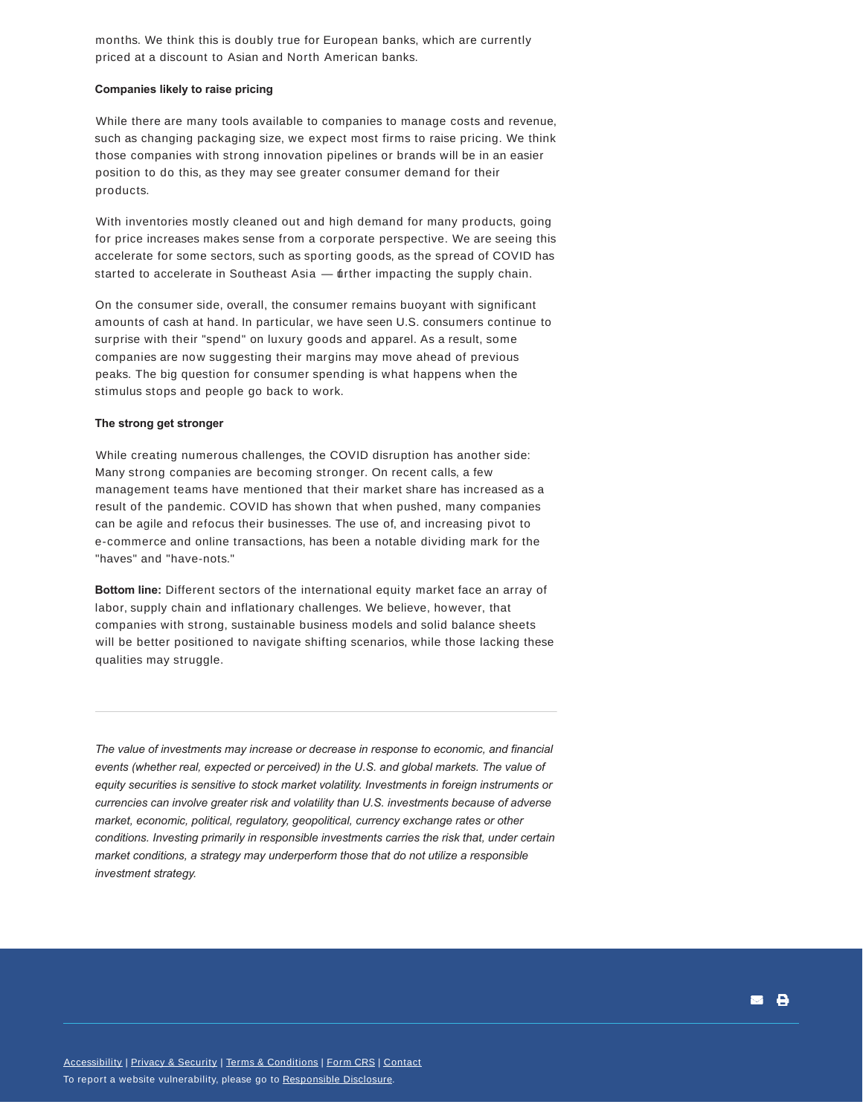months. We think this is doubly true for European banks, which are currently priced at a discount to Asian and North American banks.

## **Companies likely to raise pricing**

While there are many tools available to companies to manage costs and revenue, such as changing packaging size, we expect most firms to raise pricing. We think those companies with strong innovation pipelines or brands will be in an easier position to do this, as they may see greater consumer demand for their products.

With inventories mostly cleaned out and high demand for many products, going for price increases makes sense from a corporate perspective. We are seeing this accelerate for some sectors, such as sporting goods, as the spread of COVID has started to accelerate in Southeast Asia — tuther impacting the supply chain.

On the consumer side, overall, the consumer remains buoyant with significant amounts of cash at hand. In particular, we have seen U.S. consumers continue to surprise with their "spend" on luxury goods and apparel. As a result, some companies are now suggesting their margins may move ahead of previous peaks. The big question for consumer spending is what happens when the stimulus stops and people go back to work.

## **The strong get stronger**

While creating numerous challenges, the COVID disruption has another side: Many strong companies are becoming stronger. On recent calls, a few management teams have mentioned that their market share has increased as a result of the pandemic. COVID has shown that when pushed, many companies can be agile and refocus their businesses. The use of, and increasing pivot to e-commerce and online transactions, has been a notable dividing mark for the "haves" and "have-nots."

**Bottom line:** Different sectors of the international equity market face an array of labor, supply chain and inflationary challenges. We believe, however, that companies with strong, sustainable business models and solid balance sheets will be better positioned to navigate shifting scenarios, while those lacking these qualities may struggle.

*The value of investments may increase or decrease in response to economic, and financial events (whether real, expected or perceived) in the U.S. and global markets. The value of equity securities is sensitive to stock market volatility. Investments in foreign instruments or currencies can involve greater risk and volatility than U.S. investments because of adverse market, economic, political, regulatory, geopolitical, currency exchange rates or other conditions. Investing primarily in responsible investments carries the risk that, under certain market conditions, a strategy may underperform those that do not utilize a responsible investment strategy.*